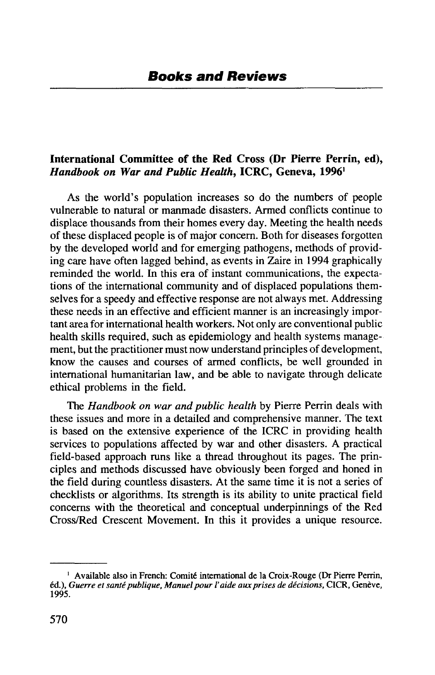## **International Committee of the Red Cross (Dr Pierre Perrin, ed),** *Handbook on War and Public Health,* **ICRC, Geneva, 1996'**

As the world's population increases so do the numbers of people vulnerable to natural or manmade disasters. Armed conflicts continue to displace thousands from their homes every day. Meeting the health needs of these displaced people is of major concern. Both for diseases forgotten by the developed world and for emerging pathogens, methods of providing care have often lagged behind, as events in Zaire in 1994 graphically reminded the world. In this era of instant communications, the expectations of the international community and of displaced populations themselves for a speedy and effective response are not always met. Addressing these needs in an effective and efficient manner is an increasingly important area for international health workers. Not only are conventional public health skills required, such as epidemiology and health systems management, but the practitioner must now understand principles of development, know the causes and courses of armed conflicts, be well grounded in international humanitarian law, and be able to navigate through delicate ethical problems in the field.

The *Handbook on war and public health* by Pierre Perrin deals with these issues and more in a detailed and comprehensive manner. The text is based on the extensive experience of the ICRC in providing health services to populations affected by war and other disasters. A practical field-based approach runs like a thread throughout its pages. The principles and methods discussed have obviously been forged and honed in the field during countless disasters. At the same time it is not a series of checklists or algorithms. Its strength is its ability to unite practical field concerns with the theoretical and conceptual underpinnings of the Red Cross/Red Crescent Movement. In this it provides a unique resource.

<sup>&</sup>lt;sup>1</sup> Available also in French: Comité international de la Croix-Rouge (Dr Pierre Perrin, éd.), *Guerre et santé publique, Manuel pour l'aide aux prises de décisions*, CICR, Genève, 1995.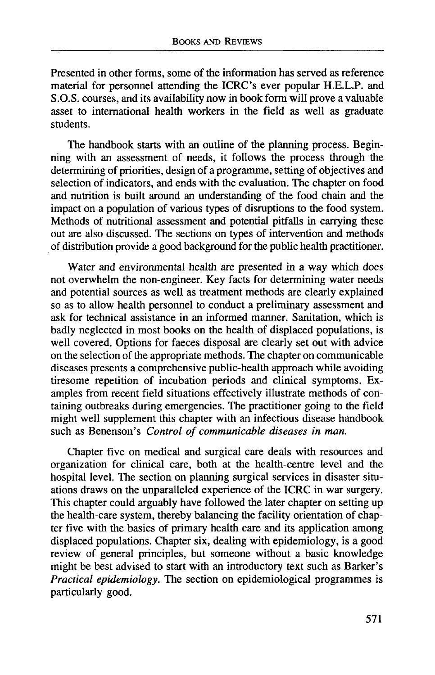Presented in other forms, some of the information has served as reference material for personnel attending the ICRC's ever popular H.E.L.P. and S.O.S. courses, and its availability now in book form will prove a valuable asset to international health workers in the field as well as graduate students.

The handbook starts with an outline of the planning process. Beginning with an assessment of needs, it follows the process through the determining of priorities, design of a programme, setting of objectives and selection of indicators, and ends with the evaluation. The chapter on food and nutrition is built around an understanding of the food chain and the impact on a population of various types of disruptions to the food system. Methods of nutritional assessment and potential pitfalls in carrying these out are also discussed. The sections on types of intervention and methods of distribution provide a good background for the public health practitioner.

Water and environmental health are presented in a way which does not overwhelm the non-engineer. Key facts for determining water needs and potential sources as well as treatment methods are clearly explained so as to allow health personnel to conduct a preliminary assessment and ask for technical assistance in an informed manner. Sanitation, which is badly neglected in most books on the health of displaced populations, is well covered. Options for faeces disposal are clearly set out with advice on the selection of the appropriate methods. The chapter on communicable diseases presents a comprehensive public-health approach while avoiding tiresome repetition of incubation periods and clinical symptoms. Examples from recent field situations effectively illustrate methods of containing outbreaks during emergencies. The practitioner going to the field might well supplement this chapter with an infectious disease handbook such as Benenson's *Control of communicable diseases in man.*

Chapter five on medical and surgical care deals with resources and organization for clinical care, both at the health-centre level and the hospital level. The section on planning surgical services in disaster situations draws on the unparalleled experience of the ICRC in war surgery. This chapter could arguably have followed the later chapter on setting up the health-care system, thereby balancing the facility orientation of chapter five with the basics of primary health care and its application among displaced populations. Chapter six, dealing with epidemiology, is a good review of general principles, but someone without a basic knowledge might be best advised to start with an introductory text such as Barker's *Practical epidemiology.* The section on epidemiological programmes is particularly good.